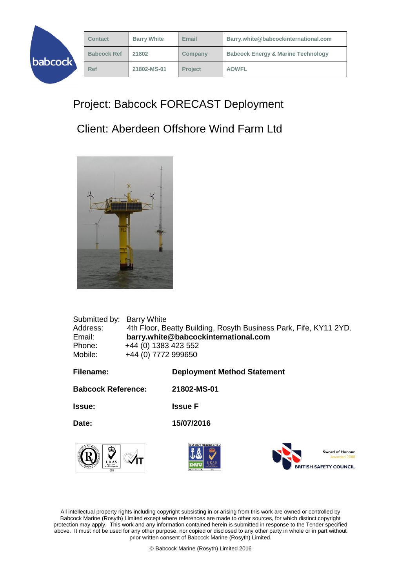|         | <b>Contact</b>     | <b>Barry White</b> | Email          | Barry.white@babcockinternational.com          |
|---------|--------------------|--------------------|----------------|-----------------------------------------------|
| babcock | <b>Babcock Ref</b> | 21802              | Company        | <b>Babcock Energy &amp; Marine Technology</b> |
|         | <b>Ref</b>         | 21802-MS-01        | <b>Project</b> | <b>AOWFL</b>                                  |
|         |                    |                    |                |                                               |

## Project: Babcock FORECAST Deployment

## Client: Aberdeen Offshore Wind Farm Ltd



| Submitted by:             | <b>Barry White</b>   |                                                                   |
|---------------------------|----------------------|-------------------------------------------------------------------|
| Address:                  |                      | 4th Floor, Beatty Building, Rosyth Business Park, Fife, KY11 2YD. |
| Email:                    |                      | barry.white@babcockinternational.com                              |
| Phone:                    | +44 (0) 1383 423 552 |                                                                   |
| Mobile:                   | +44 (0) 7772 999650  |                                                                   |
|                           |                      |                                                                   |
| Filename:                 |                      | <b>Deployment Method Statement</b>                                |
| <b>Babcock Reference:</b> |                      | 21802-MS-01                                                       |
| <b>Issue:</b>             |                      | <b>Issue F</b>                                                    |
| Date:                     |                      | 15/07/2016                                                        |
| <b>TERQUALIT</b><br>ക     |                      | ISO 9001 REGISTERED<br>$0.01 \times$                              |



ord of Honour Awarded 2008 **BRITISH SAFETY COUNCIL** 

All intellectual property rights including copyright subsisting in or arising from this work are owned or controlled by Babcock Marine (Rosyth) Limited except where references are made to other sources, for which distinct copyright protection may apply. This work and any information contained herein is submitted in response to the Tender specified above. It must not be used for any other purpose, nor copied or disclosed to any other party in whole or in part without prior written consent of Babcock Marine (Rosyth) Limited.

Babcock Marine (Rosyth) Limited 2016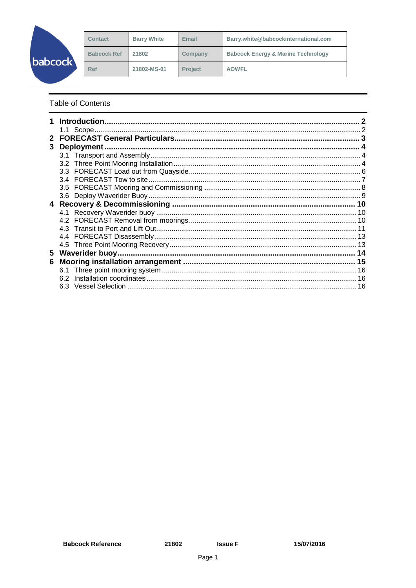|                | <b>Contact</b>     | <b>Barry White</b> | Email          | Barry.white@babcockinternational.com          |
|----------------|--------------------|--------------------|----------------|-----------------------------------------------|
| <b>babcock</b> | <b>Babcock Ref</b> | 21802              | Company        | <b>Babcock Energy &amp; Marine Technology</b> |
|                | Ref                | 21802-MS-01        | <b>Project</b> | <b>AOWFL</b>                                  |

**Table of Contents** 

|    | <b>Introduction</b> |  |
|----|---------------------|--|
|    |                     |  |
|    |                     |  |
| 3  | Deployment.         |  |
|    |                     |  |
|    |                     |  |
|    |                     |  |
|    |                     |  |
|    |                     |  |
|    |                     |  |
| 4  |                     |  |
|    |                     |  |
|    |                     |  |
|    |                     |  |
|    |                     |  |
|    |                     |  |
| 5. |                     |  |
| 6  |                     |  |
|    | 6.1                 |  |
|    | 6.2                 |  |
|    |                     |  |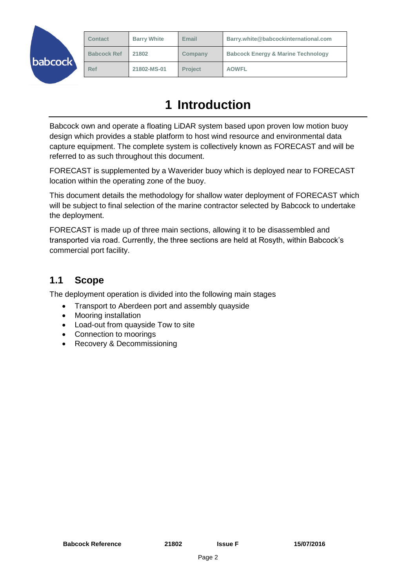|        | <b>Contact</b>     | <b>Barry White</b> | Email          | Barry.white@babcockinternational.com          |
|--------|--------------------|--------------------|----------------|-----------------------------------------------|
| bcock\ | <b>Babcock Ref</b> | 21802              | Company        | <b>Babcock Energy &amp; Marine Technology</b> |
|        | <b>Ref</b>         | 21802-MS-01        | <b>Project</b> | <b>AOWFL</b>                                  |

# **1 Introduction**

<span id="page-2-0"></span>Babcock own and operate a floating LiDAR system based upon proven low motion buoy design which provides a stable platform to host wind resource and environmental data capture equipment. The complete system is collectively known as FORECAST and will be referred to as such throughout this document.

FORECAST is supplemented by a Waverider buoy which is deployed near to FORECAST location within the operating zone of the buoy.

This document details the methodology for shallow water deployment of FORECAST which will be subject to final selection of the marine contractor selected by Babcock to undertake the deployment.

FORECAST is made up of three main sections, allowing it to be disassembled and transported via road. Currently, the three sections are held at Rosyth, within Babcock's commercial port facility.

### <span id="page-2-1"></span>**1.1 Scope**

The deployment operation is divided into the following main stages

- Transport to Aberdeen port and assembly quayside
- Mooring installation
- Load-out from quayside Tow to site
- Connection to moorings
- Recovery & Decommissioning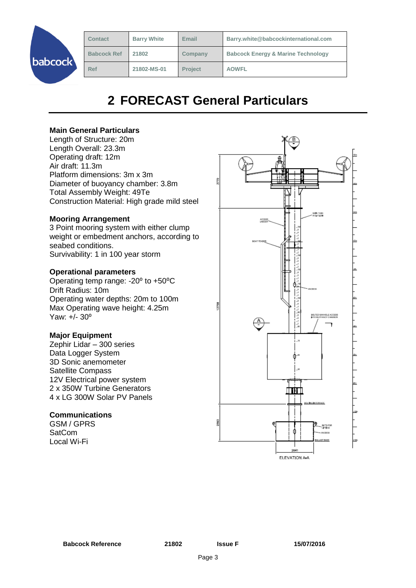| <b>Contact</b>     | <b>Barry White</b> | Email          | Barry.white@babcockinternational.com          |
|--------------------|--------------------|----------------|-----------------------------------------------|
| <b>Babcock Ref</b> | 21802              | Company        | <b>Babcock Energy &amp; Marine Technology</b> |
| <b>Ref</b>         | 21802-MS-01        | <b>Project</b> | <b>AOWFL</b>                                  |
|                    |                    |                |                                               |

# **2 FORECAST General Particulars**

#### <span id="page-3-0"></span>**Main General Particulars**

Length of Structure: 20m Length Overall: 23.3m Operating draft: 12m Air draft: 11.3m Platform dimensions: 3m x 3m Diameter of buoyancy chamber: 3.8m Total Assembly Weight: 49Te Construction Material: High grade mild steel

#### **Mooring Arrangement**

3 Point mooring system with either clump weight or embedment anchors, according to seabed conditions. Survivability: 1 in 100 year storm

#### **Operational parameters**

Operating temp range: -20° to +50°C Drift Radius: 10m Operating water depths: 20m to 100m Max Operating wave height: 4.25m Yaw: +/- 30°

#### **Major Equipment**

Zephir Lidar – 300 series Data Logger System 3D Sonic anemometer Satellite Compass 12V Electrical power system 2 x 350W Turbine Generators 4 x LG 300W Solar PV Panels

#### **Communications**

GSM / GPRS **SatCom** Local Wi-Fi

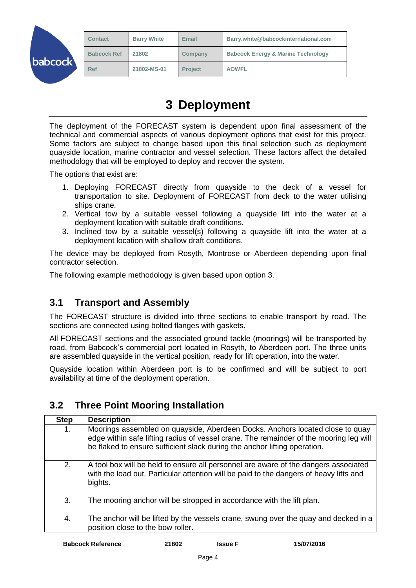|         | <b>Contact</b>     | <b>Barry White</b> | Email          | Barry.white@babcockinternational.com          |
|---------|--------------------|--------------------|----------------|-----------------------------------------------|
| babcock | <b>Babcock Ref</b> | 21802              | Company        | <b>Babcock Energy &amp; Marine Technology</b> |
|         | Ref                | 21802-MS-01        | <b>Project</b> | <b>AOWFL</b>                                  |

# **3 Deployment**

<span id="page-4-0"></span>The deployment of the FORECAST system is dependent upon final assessment of the technical and commercial aspects of various deployment options that exist for this project. Some factors are subject to change based upon this final selection such as deployment quayside location, marine contractor and vessel selection. These factors affect the detailed methodology that will be employed to deploy and recover the system.

The options that exist are:

- 1. Deploying FORECAST directly from quayside to the deck of a vessel for transportation to site. Deployment of FORECAST from deck to the water utilising ships crane.
- 2. Vertical tow by a suitable vessel following a quayside lift into the water at a deployment location with suitable draft conditions.
- 3. Inclined tow by a suitable vessel(s) following a quayside lift into the water at a deployment location with shallow draft conditions.

The device may be deployed from Rosyth, Montrose or Aberdeen depending upon final contractor selection.

The following example methodology is given based upon option 3.

### <span id="page-4-1"></span>**3.1 Transport and Assembly**

The FORECAST structure is divided into three sections to enable transport by road. The sections are connected using bolted flanges with gaskets.

All FORECAST sections and the associated ground tackle (moorings) will be transported by road, from Babcock's commercial port located in Rosyth, to Aberdeen port. The three units are assembled quayside in the vertical position, ready for lift operation, into the water.

Quayside location within Aberdeen port is to be confirmed and will be subject to port availability at time of the deployment operation.

#### <span id="page-4-2"></span>**3.2 Three Point Mooring Installation**

| <b>Step</b> | <b>Description</b>                                                                                                                                                                                                                                   |
|-------------|------------------------------------------------------------------------------------------------------------------------------------------------------------------------------------------------------------------------------------------------------|
| 1.          | Moorings assembled on quayside, Aberdeen Docks. Anchors located close to quay<br>edge within safe lifting radius of vessel crane. The remainder of the mooring leg will<br>be flaked to ensure sufficient slack during the anchor lifting operation. |
| 2.          | A tool box will be held to ensure all personnel are aware of the dangers associated<br>with the load out. Particular attention will be paid to the dangers of heavy lifts and<br>bights.                                                             |
| 3.          | The mooring anchor will be stropped in accordance with the lift plan.                                                                                                                                                                                |
| 4.          | The anchor will be lifted by the vessels crane, swung over the quay and decked in a<br>position close to the bow roller.                                                                                                                             |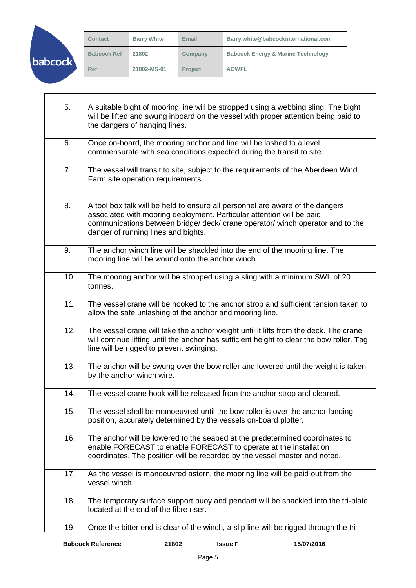|         | <b>Contact</b>     | <b>Barry White</b> | Email          | Barry.white@babcockinternational.com          |
|---------|--------------------|--------------------|----------------|-----------------------------------------------|
| babcock | <b>Babcock Ref</b> | 21802              | Company        | <b>Babcock Energy &amp; Marine Technology</b> |
|         | <b>Ref</b>         | 21802-MS-01        | <b>Project</b> | <b>AOWFL</b>                                  |

| 5.<br>A suitable bight of mooring line will be stropped using a webbing sling. The bight<br>will be lifted and swung inboard on the vessel with proper attention being paid to<br>the dangers of hanging lines.<br>6.<br>Once on-board, the mooring anchor and line will be lashed to a level<br>commensurate with sea conditions expected during the transit to site.<br>7.<br>The vessel will transit to site, subject to the requirements of the Aberdeen Wind<br>Farm site operation requirements.<br>8.<br>A tool box talk will be held to ensure all personnel are aware of the dangers<br>associated with mooring deployment. Particular attention will be paid<br>communications between bridge/ deck/ crane operator/ winch operator and to the<br>danger of running lines and bights.<br>9.<br>The anchor winch line will be shackled into the end of the mooring line. The<br>mooring line will be wound onto the anchor winch.<br>10.<br>The mooring anchor will be stropped using a sling with a minimum SWL of 20<br>tonnes.<br>11.<br>The vessel crane will be hooked to the anchor strop and sufficient tension taken to<br>allow the safe unlashing of the anchor and mooring line.<br>The vessel crane will take the anchor weight until it lifts from the deck. The crane<br>12.<br>will continue lifting until the anchor has sufficient height to clear the bow roller. Tag<br>line will be rigged to prevent swinging.<br>$\overline{1}3.$<br>The anchor will be swung over the bow roller and lowered until the weight is taken<br>by the anchor winch wire.<br>The vessel crane hook will be released from the anchor strop and cleared.<br>14.<br>The vessel shall be manoeuvred until the bow roller is over the anchor landing<br>15.<br>position, accurately determined by the vessels on-board plotter.<br>16.<br>The anchor will be lowered to the seabed at the predetermined coordinates to<br>enable FORECAST to enable FORECAST to operate at the installation<br>coordinates. The position will be recorded by the vessel master and noted.<br>17.<br>As the vessel is manoeuvred astern, the mooring line will be paid out from the<br>vessel winch.<br>18.<br>The temporary surface support buoy and pendant will be shackled into the tri-plate<br>located at the end of the fibre riser.<br>Once the bitter end is clear of the winch, a slip line will be rigged through the tri-<br>19. |  |
|----------------------------------------------------------------------------------------------------------------------------------------------------------------------------------------------------------------------------------------------------------------------------------------------------------------------------------------------------------------------------------------------------------------------------------------------------------------------------------------------------------------------------------------------------------------------------------------------------------------------------------------------------------------------------------------------------------------------------------------------------------------------------------------------------------------------------------------------------------------------------------------------------------------------------------------------------------------------------------------------------------------------------------------------------------------------------------------------------------------------------------------------------------------------------------------------------------------------------------------------------------------------------------------------------------------------------------------------------------------------------------------------------------------------------------------------------------------------------------------------------------------------------------------------------------------------------------------------------------------------------------------------------------------------------------------------------------------------------------------------------------------------------------------------------------------------------------------------------------------------------------------------------------------------------------------------------------------------------------------------------------------------------------------------------------------------------------------------------------------------------------------------------------------------------------------------------------------------------------------------------------------------------------------------------------------------------------------------------------------------------------------------------------------------------------|--|
|                                                                                                                                                                                                                                                                                                                                                                                                                                                                                                                                                                                                                                                                                                                                                                                                                                                                                                                                                                                                                                                                                                                                                                                                                                                                                                                                                                                                                                                                                                                                                                                                                                                                                                                                                                                                                                                                                                                                                                                                                                                                                                                                                                                                                                                                                                                                                                                                                                  |  |
|                                                                                                                                                                                                                                                                                                                                                                                                                                                                                                                                                                                                                                                                                                                                                                                                                                                                                                                                                                                                                                                                                                                                                                                                                                                                                                                                                                                                                                                                                                                                                                                                                                                                                                                                                                                                                                                                                                                                                                                                                                                                                                                                                                                                                                                                                                                                                                                                                                  |  |
|                                                                                                                                                                                                                                                                                                                                                                                                                                                                                                                                                                                                                                                                                                                                                                                                                                                                                                                                                                                                                                                                                                                                                                                                                                                                                                                                                                                                                                                                                                                                                                                                                                                                                                                                                                                                                                                                                                                                                                                                                                                                                                                                                                                                                                                                                                                                                                                                                                  |  |
|                                                                                                                                                                                                                                                                                                                                                                                                                                                                                                                                                                                                                                                                                                                                                                                                                                                                                                                                                                                                                                                                                                                                                                                                                                                                                                                                                                                                                                                                                                                                                                                                                                                                                                                                                                                                                                                                                                                                                                                                                                                                                                                                                                                                                                                                                                                                                                                                                                  |  |
|                                                                                                                                                                                                                                                                                                                                                                                                                                                                                                                                                                                                                                                                                                                                                                                                                                                                                                                                                                                                                                                                                                                                                                                                                                                                                                                                                                                                                                                                                                                                                                                                                                                                                                                                                                                                                                                                                                                                                                                                                                                                                                                                                                                                                                                                                                                                                                                                                                  |  |
|                                                                                                                                                                                                                                                                                                                                                                                                                                                                                                                                                                                                                                                                                                                                                                                                                                                                                                                                                                                                                                                                                                                                                                                                                                                                                                                                                                                                                                                                                                                                                                                                                                                                                                                                                                                                                                                                                                                                                                                                                                                                                                                                                                                                                                                                                                                                                                                                                                  |  |
|                                                                                                                                                                                                                                                                                                                                                                                                                                                                                                                                                                                                                                                                                                                                                                                                                                                                                                                                                                                                                                                                                                                                                                                                                                                                                                                                                                                                                                                                                                                                                                                                                                                                                                                                                                                                                                                                                                                                                                                                                                                                                                                                                                                                                                                                                                                                                                                                                                  |  |
|                                                                                                                                                                                                                                                                                                                                                                                                                                                                                                                                                                                                                                                                                                                                                                                                                                                                                                                                                                                                                                                                                                                                                                                                                                                                                                                                                                                                                                                                                                                                                                                                                                                                                                                                                                                                                                                                                                                                                                                                                                                                                                                                                                                                                                                                                                                                                                                                                                  |  |
|                                                                                                                                                                                                                                                                                                                                                                                                                                                                                                                                                                                                                                                                                                                                                                                                                                                                                                                                                                                                                                                                                                                                                                                                                                                                                                                                                                                                                                                                                                                                                                                                                                                                                                                                                                                                                                                                                                                                                                                                                                                                                                                                                                                                                                                                                                                                                                                                                                  |  |
|                                                                                                                                                                                                                                                                                                                                                                                                                                                                                                                                                                                                                                                                                                                                                                                                                                                                                                                                                                                                                                                                                                                                                                                                                                                                                                                                                                                                                                                                                                                                                                                                                                                                                                                                                                                                                                                                                                                                                                                                                                                                                                                                                                                                                                                                                                                                                                                                                                  |  |
|                                                                                                                                                                                                                                                                                                                                                                                                                                                                                                                                                                                                                                                                                                                                                                                                                                                                                                                                                                                                                                                                                                                                                                                                                                                                                                                                                                                                                                                                                                                                                                                                                                                                                                                                                                                                                                                                                                                                                                                                                                                                                                                                                                                                                                                                                                                                                                                                                                  |  |
|                                                                                                                                                                                                                                                                                                                                                                                                                                                                                                                                                                                                                                                                                                                                                                                                                                                                                                                                                                                                                                                                                                                                                                                                                                                                                                                                                                                                                                                                                                                                                                                                                                                                                                                                                                                                                                                                                                                                                                                                                                                                                                                                                                                                                                                                                                                                                                                                                                  |  |
|                                                                                                                                                                                                                                                                                                                                                                                                                                                                                                                                                                                                                                                                                                                                                                                                                                                                                                                                                                                                                                                                                                                                                                                                                                                                                                                                                                                                                                                                                                                                                                                                                                                                                                                                                                                                                                                                                                                                                                                                                                                                                                                                                                                                                                                                                                                                                                                                                                  |  |
|                                                                                                                                                                                                                                                                                                                                                                                                                                                                                                                                                                                                                                                                                                                                                                                                                                                                                                                                                                                                                                                                                                                                                                                                                                                                                                                                                                                                                                                                                                                                                                                                                                                                                                                                                                                                                                                                                                                                                                                                                                                                                                                                                                                                                                                                                                                                                                                                                                  |  |
|                                                                                                                                                                                                                                                                                                                                                                                                                                                                                                                                                                                                                                                                                                                                                                                                                                                                                                                                                                                                                                                                                                                                                                                                                                                                                                                                                                                                                                                                                                                                                                                                                                                                                                                                                                                                                                                                                                                                                                                                                                                                                                                                                                                                                                                                                                                                                                                                                                  |  |

 $\mathsf{r}$ 

T

 $\overline{\phantom{0}}$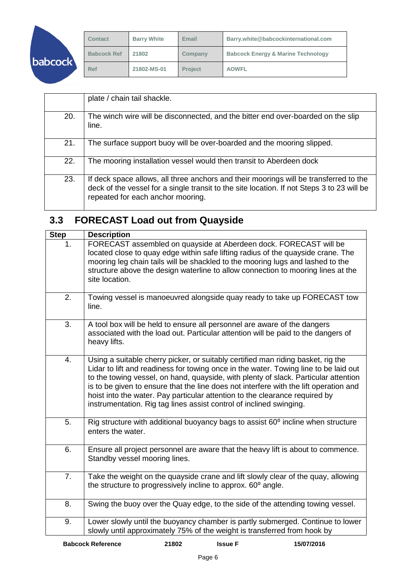| <b>babcock</b> |  |
|----------------|--|

| <b>Contact</b>     | <b>Barry White</b> | Email          | Barry.white@babcockinternational.com          |
|--------------------|--------------------|----------------|-----------------------------------------------|
| <b>Babcock Ref</b> | 21802              | Company        | <b>Babcock Energy &amp; Marine Technology</b> |
| <b>Ref</b>         | 21802-MS-01        | <b>Project</b> | <b>AOWFL</b>                                  |

|     | plate / chain tail shackle.                                                                                                                                                                                              |
|-----|--------------------------------------------------------------------------------------------------------------------------------------------------------------------------------------------------------------------------|
| 20. | The winch wire will be disconnected, and the bitter end over-boarded on the slip<br>line.                                                                                                                                |
| 21. | The surface support buoy will be over-boarded and the mooring slipped.                                                                                                                                                   |
| 22. | The mooring installation vessel would then transit to Aberdeen dock                                                                                                                                                      |
| 23. | If deck space allows, all three anchors and their moorings will be transferred to the<br>deck of the vessel for a single transit to the site location. If not Steps 3 to 23 will be<br>repeated for each anchor mooring. |

## <span id="page-6-0"></span>**3.3 FORECAST Load out from Quayside**

| <b>Step</b> | <b>Description</b>                                                                                                                                                                                                                                                                                                                                                                                                                                                                                             |
|-------------|----------------------------------------------------------------------------------------------------------------------------------------------------------------------------------------------------------------------------------------------------------------------------------------------------------------------------------------------------------------------------------------------------------------------------------------------------------------------------------------------------------------|
| 1.          | FORECAST assembled on quayside at Aberdeen dock. FORECAST will be<br>located close to quay edge within safe lifting radius of the quayside crane. The<br>mooring leg chain tails will be shackled to the mooring lugs and lashed to the<br>structure above the design waterline to allow connection to mooring lines at the<br>site location.                                                                                                                                                                  |
| 2.          | Towing vessel is manoeuvred alongside quay ready to take up FORECAST tow<br>line.                                                                                                                                                                                                                                                                                                                                                                                                                              |
| 3.          | A tool box will be held to ensure all personnel are aware of the dangers<br>associated with the load out. Particular attention will be paid to the dangers of<br>heavy lifts.                                                                                                                                                                                                                                                                                                                                  |
| 4.          | Using a suitable cherry picker, or suitably certified man riding basket, rig the<br>Lidar to lift and readiness for towing once in the water. Towing line to be laid out<br>to the towing vessel, on hand, quayside, with plenty of slack. Particular attention<br>is to be given to ensure that the line does not interfere with the lift operation and<br>hoist into the water. Pay particular attention to the clearance required by<br>instrumentation. Rig tag lines assist control of inclined swinging. |
| 5.          | Rig structure with additional buoyancy bags to assist 60° incline when structure<br>enters the water.                                                                                                                                                                                                                                                                                                                                                                                                          |
| 6.          | Ensure all project personnel are aware that the heavy lift is about to commence.<br>Standby vessel mooring lines.                                                                                                                                                                                                                                                                                                                                                                                              |
| 7.          | Take the weight on the quayside crane and lift slowly clear of the quay, allowing<br>the structure to progressively incline to approx. 60° angle.                                                                                                                                                                                                                                                                                                                                                              |
| 8.          | Swing the buoy over the Quay edge, to the side of the attending towing vessel.                                                                                                                                                                                                                                                                                                                                                                                                                                 |
| 9.          | Lower slowly until the buoyancy chamber is partly submerged. Continue to lower<br>slowly until approximately 75% of the weight is transferred from hook by                                                                                                                                                                                                                                                                                                                                                     |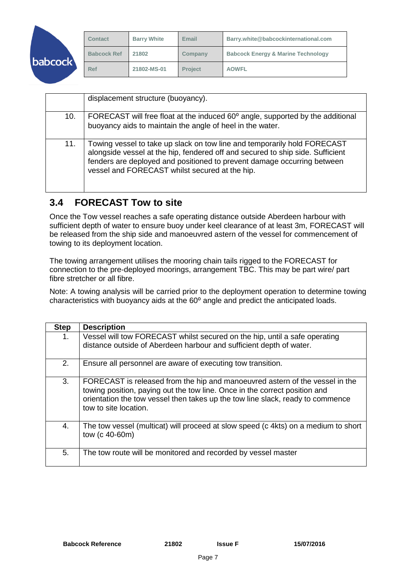|         | <b>Contact</b>     | <b>Barry White</b> | Email          | Barry.white@babcockinternational.com          |
|---------|--------------------|--------------------|----------------|-----------------------------------------------|
| babcock | <b>Babcock Ref</b> | 21802              | Company        | <b>Babcock Energy &amp; Marine Technology</b> |
|         | <b>Ref</b>         | 21802-MS-01        | <b>Project</b> | <b>AOWFL</b>                                  |

|     | displacement structure (buoyancy).                                                                                                                                                                                                                                                      |
|-----|-----------------------------------------------------------------------------------------------------------------------------------------------------------------------------------------------------------------------------------------------------------------------------------------|
| 10. | FORECAST will free float at the induced 60° angle, supported by the additional<br>buoyancy aids to maintain the angle of heel in the water.                                                                                                                                             |
| 11. | Towing vessel to take up slack on tow line and temporarily hold FORECAST<br>alongside vessel at the hip, fendered off and secured to ship side. Sufficient<br>fenders are deployed and positioned to prevent damage occurring between<br>vessel and FORECAST whilst secured at the hip. |

### <span id="page-7-0"></span>**3.4 FORECAST Tow to site**

Once the Tow vessel reaches a safe operating distance outside Aberdeen harbour with sufficient depth of water to ensure buoy under keel clearance of at least 3m, FORECAST will be released from the ship side and manoeuvred astern of the vessel for commencement of towing to its deployment location.

The towing arrangement utilises the mooring chain tails rigged to the FORECAST for connection to the pre-deployed moorings, arrangement TBC. This may be part wire/ part fibre stretcher or all fibre.

Note: A towing analysis will be carried prior to the deployment operation to determine towing characteristics with buoyancy aids at the 60° angle and predict the anticipated loads.

| <b>Step</b> | <b>Description</b>                                                                                                                                                                                                                                                    |
|-------------|-----------------------------------------------------------------------------------------------------------------------------------------------------------------------------------------------------------------------------------------------------------------------|
| 1.          | Vessel will tow FORECAST whilst secured on the hip, until a safe operating<br>distance outside of Aberdeen harbour and sufficient depth of water.                                                                                                                     |
| 2.          | Ensure all personnel are aware of executing tow transition.                                                                                                                                                                                                           |
| 3.          | FORECAST is released from the hip and manoeuvred astern of the vessel in the<br>towing position, paying out the tow line. Once in the correct position and<br>orientation the tow vessel then takes up the tow line slack, ready to commence<br>tow to site location. |
| 4.          | The tow vessel (multicat) will proceed at slow speed (c 4kts) on a medium to short<br>tow (c 40-60m)                                                                                                                                                                  |
| 5.          | The tow route will be monitored and recorded by vessel master                                                                                                                                                                                                         |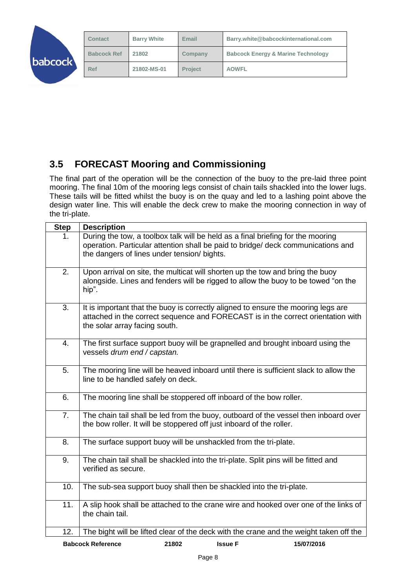|         | <b>Contact</b>     | <b>Barry White</b> | Email          | Barry.white@babcockinternational.com          |
|---------|--------------------|--------------------|----------------|-----------------------------------------------|
| babcock | <b>Babcock Ref</b> | 21802              | Company        | <b>Babcock Energy &amp; Marine Technology</b> |
|         | Ref                | 21802-MS-01        | <b>Project</b> | <b>AOWFL</b>                                  |

## <span id="page-8-0"></span>**3.5 FORECAST Mooring and Commissioning**

The final part of the operation will be the connection of the buoy to the pre-laid three point mooring. The final 10m of the mooring legs consist of chain tails shackled into the lower lugs. These tails will be fitted whilst the buoy is on the quay and led to a lashing point above the design water line. This will enable the deck crew to make the mooring connection in way of the tri-plate.

| <b>Step</b>    | <b>Description</b>                                                                                                                                                                                                 |
|----------------|--------------------------------------------------------------------------------------------------------------------------------------------------------------------------------------------------------------------|
| 1.             | During the tow, a toolbox talk will be held as a final briefing for the mooring<br>operation. Particular attention shall be paid to bridge/ deck communications and<br>the dangers of lines under tension/ bights. |
| 2.             | Upon arrival on site, the multicat will shorten up the tow and bring the buoy<br>alongside. Lines and fenders will be rigged to allow the buoy to be towed "on the<br>hip".                                        |
| 3.             | It is important that the buoy is correctly aligned to ensure the mooring legs are<br>attached in the correct sequence and FORECAST is in the correct orientation with<br>the solar array facing south.             |
| 4.             | The first surface support buoy will be grapnelled and brought inboard using the<br>vessels drum end / capstan.                                                                                                     |
| 5.             | The mooring line will be heaved inboard until there is sufficient slack to allow the<br>line to be handled safely on deck.                                                                                         |
| 6.             | The mooring line shall be stoppered off inboard of the bow roller.                                                                                                                                                 |
| 7 <sub>1</sub> | The chain tail shall be led from the buoy, outboard of the vessel then inboard over<br>the bow roller. It will be stoppered off just inboard of the roller.                                                        |
| 8.             | The surface support buoy will be unshackled from the tri-plate.                                                                                                                                                    |
| 9.             | The chain tail shall be shackled into the tri-plate. Split pins will be fitted and<br>verified as secure.                                                                                                          |
| 10.            | The sub-sea support buoy shall then be shackled into the tri-plate.                                                                                                                                                |
| 11.            | A slip hook shall be attached to the crane wire and hooked over one of the links of<br>the chain tail.                                                                                                             |
| 12.            | The bight will be lifted clear of the deck with the crane and the weight taken off the                                                                                                                             |
|                | <b>Babcock Reference</b><br>21802<br><b>Issue F</b><br>15/07/2016                                                                                                                                                  |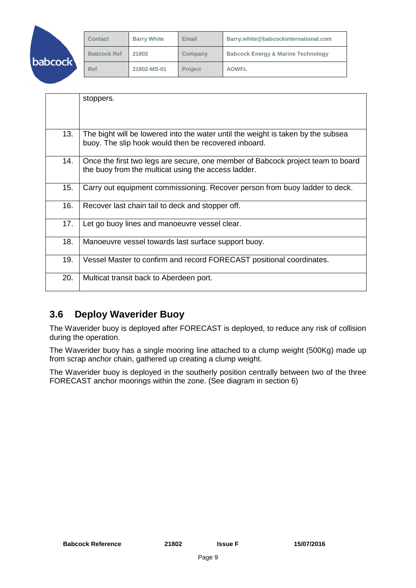|          | <b>Contact</b>     | <b>Barry White</b> | Email          | Barry.white@babcockinternational.com          |
|----------|--------------------|--------------------|----------------|-----------------------------------------------|
| babcock\ | <b>Babcock Ref</b> | 21802              | Company        | <b>Babcock Energy &amp; Marine Technology</b> |
|          | Ref                | 21802-MS-01        | <b>Project</b> | <b>AOWFL</b>                                  |

|     | stoppers.                                                                                                                                |
|-----|------------------------------------------------------------------------------------------------------------------------------------------|
| 13. | The bight will be lowered into the water until the weight is taken by the subsea<br>buoy. The slip hook would then be recovered inboard. |
| 14. | Once the first two legs are secure, one member of Babcock project team to board<br>the buoy from the multicat using the access ladder.   |
| 15. | Carry out equipment commissioning. Recover person from buoy ladder to deck.                                                              |
| 16. | Recover last chain tail to deck and stopper off.                                                                                         |
| 17. | Let go buoy lines and manoeuvre vessel clear.                                                                                            |
| 18. | Manoeuvre vessel towards last surface support buoy.                                                                                      |
| 19. | Vessel Master to confirm and record FORECAST positional coordinates.                                                                     |
| 20. | Multicat transit back to Aberdeen port.                                                                                                  |

### <span id="page-9-0"></span>**3.6 Deploy Waverider Buoy**

The Waverider buoy is deployed after FORECAST is deployed, to reduce any risk of collision during the operation.

The Waverider buoy has a single mooring line attached to a clump weight (500Kg) made up from scrap anchor chain, gathered up creating a clump weight.

The Waverider buoy is deployed in the southerly position centrally between two of the three FORECAST anchor moorings within the zone. (See diagram in section 6)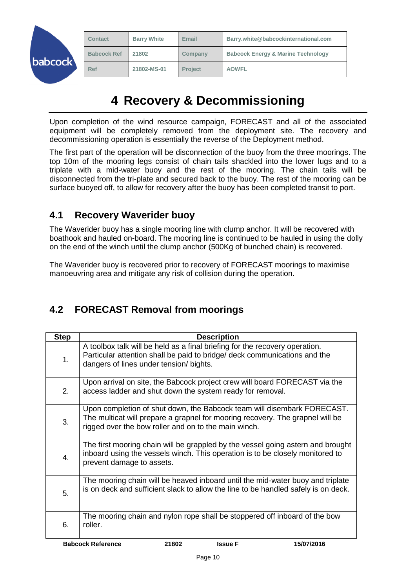|         | <b>Contact</b>     | <b>Barry White</b> | Email          | Barry.white@babcockinternational.com          |
|---------|--------------------|--------------------|----------------|-----------------------------------------------|
| babcock | <b>Babcock Ref</b> | 21802              | Company        | <b>Babcock Energy &amp; Marine Technology</b> |
|         | Ref                | 21802-MS-01        | <b>Project</b> | <b>AOWFL</b>                                  |

# **4 Recovery & Decommissioning**

<span id="page-10-0"></span>Upon completion of the wind resource campaign, FORECAST and all of the associated equipment will be completely removed from the deployment site. The recovery and decommissioning operation is essentially the reverse of the Deployment method.

The first part of the operation will be disconnection of the buoy from the three moorings. The top 10m of the mooring legs consist of chain tails shackled into the lower lugs and to a triplate with a mid-water buoy and the rest of the mooring. The chain tails will be disconnected from the tri-plate and secured back to the buoy. The rest of the mooring can be surface buoyed off, to allow for recovery after the buoy has been completed transit to port.

### <span id="page-10-1"></span>**4.1 Recovery Waverider buoy**

The Waverider buoy has a single mooring line with clump anchor. It will be recovered with boathook and hauled on-board. The mooring line is continued to be hauled in using the dolly on the end of the winch until the clump anchor (500Kg of bunched chain) is recovered.

The Waverider buoy is recovered prior to recovery of FORECAST moorings to maximise manoeuvring area and mitigate any risk of collision during the operation.

### <span id="page-10-2"></span>**4.2 FORECAST Removal from moorings**

| <b>Step</b> | <b>Description</b>                                                                                                                                                                                               |
|-------------|------------------------------------------------------------------------------------------------------------------------------------------------------------------------------------------------------------------|
| 1.          | A toolbox talk will be held as a final briefing for the recovery operation.<br>Particular attention shall be paid to bridge/ deck communications and the<br>dangers of lines under tension/ bights.              |
| 2.          | Upon arrival on site, the Babcock project crew will board FORECAST via the<br>access ladder and shut down the system ready for removal.                                                                          |
| 3.          | Upon completion of shut down, the Babcock team will disembark FORECAST.<br>The multicat will prepare a grapnel for mooring recovery. The grapnel will be<br>rigged over the bow roller and on to the main winch. |
| 4.          | The first mooring chain will be grappled by the vessel going astern and brought<br>inboard using the vessels winch. This operation is to be closely monitored to<br>prevent damage to assets.                    |
| 5.          | The mooring chain will be heaved inboard until the mid-water buoy and triplate<br>is on deck and sufficient slack to allow the line to be handled safely is on deck.                                             |
| 6.          | The mooring chain and nylon rope shall be stoppered off inboard of the bow<br>roller.                                                                                                                            |
|             | <b>Babcock Reference</b><br>21802<br><b>Issue F</b><br>15/07/2016                                                                                                                                                |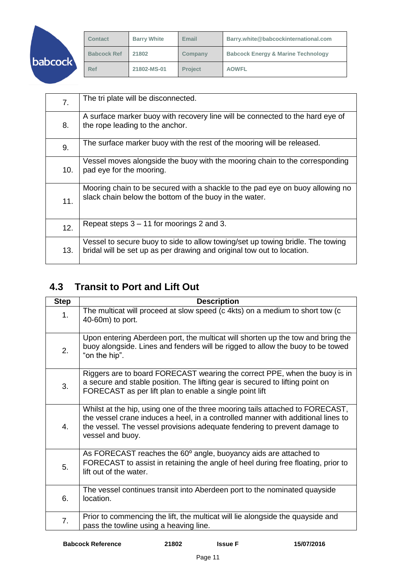| <b>babcock</b> |
|----------------|
|                |

| <b>Contact</b>     | <b>Barry White</b> | Email          | Barry.white@babcockinternational.com          |
|--------------------|--------------------|----------------|-----------------------------------------------|
| <b>Babcock Ref</b> | 21802              | Company        | <b>Babcock Energy &amp; Marine Technology</b> |
| <b>Ref</b>         | 21802-MS-01        | <b>Project</b> | <b>AOWFL</b>                                  |

| 7.  | The tri plate will be disconnected.                                                                                                                      |
|-----|----------------------------------------------------------------------------------------------------------------------------------------------------------|
| 8.  | A surface marker buoy with recovery line will be connected to the hard eye of<br>the rope leading to the anchor.                                         |
| 9.  | The surface marker buoy with the rest of the mooring will be released.                                                                                   |
| 10. | Vessel moves alongside the buoy with the mooring chain to the corresponding<br>pad eye for the mooring.                                                  |
| 11. | Mooring chain to be secured with a shackle to the pad eye on buoy allowing no<br>slack chain below the bottom of the buoy in the water.                  |
| 12. | Repeat steps 3 – 11 for moorings 2 and 3.                                                                                                                |
| 13. | Vessel to secure buoy to side to allow towing/set up towing bridle. The towing<br>bridal will be set up as per drawing and original tow out to location. |

## <span id="page-11-0"></span>**4.3 Transit to Port and Lift Out**

| <b>Step</b>      | <b>Description</b>                                                                                                                                                                                                                                                 |
|------------------|--------------------------------------------------------------------------------------------------------------------------------------------------------------------------------------------------------------------------------------------------------------------|
| 1.               | The multicat will proceed at slow speed (c 4kts) on a medium to short tow (c<br>40-60m) to port.                                                                                                                                                                   |
| 2.               | Upon entering Aberdeen port, the multicat will shorten up the tow and bring the<br>buoy alongside. Lines and fenders will be rigged to allow the buoy to be towed<br>"on the hip".                                                                                 |
| 3.               | Riggers are to board FORECAST wearing the correct PPE, when the buoy is in<br>a secure and stable position. The lifting gear is secured to lifting point on<br>FORECAST as per lift plan to enable a single point lift                                             |
| $\overline{4}$ . | Whilst at the hip, using one of the three mooring tails attached to FORECAST,<br>the vessel crane induces a heel, in a controlled manner with additional lines to<br>the vessel. The vessel provisions adequate fendering to prevent damage to<br>vessel and buoy. |
| 5.               | As FORECAST reaches the 60° angle, buoyancy aids are attached to<br>FORECAST to assist in retaining the angle of heel during free floating, prior to<br>lift out of the water.                                                                                     |
| 6.               | The vessel continues transit into Aberdeen port to the nominated quayside<br>location.                                                                                                                                                                             |
| 7.               | Prior to commencing the lift, the multicat will lie alongside the quayside and<br>pass the towline using a heaving line.                                                                                                                                           |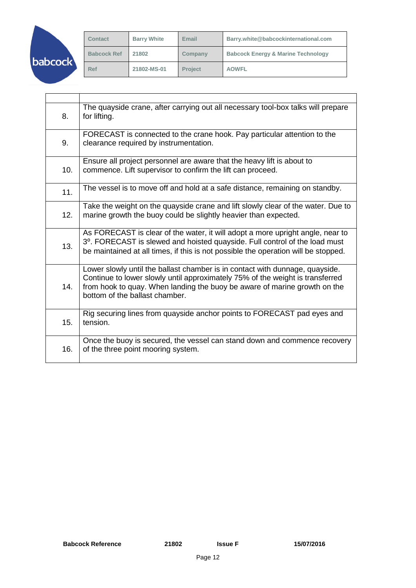|         | <b>Contact</b>     | <b>Barry White</b> | Email          | Barry.white@babcockinternational.com          |
|---------|--------------------|--------------------|----------------|-----------------------------------------------|
| babcock | <b>Babcock Ref</b> | 21802              | Company        | <b>Babcock Energy &amp; Marine Technology</b> |
|         | Ref                | 21802-MS-01        | <b>Project</b> | <b>AOWFL</b>                                  |

| 8.  | The quayside crane, after carrying out all necessary tool-box talks will prepare<br>for lifting.                                                                                                                                                                             |
|-----|------------------------------------------------------------------------------------------------------------------------------------------------------------------------------------------------------------------------------------------------------------------------------|
| 9.  | FORECAST is connected to the crane hook. Pay particular attention to the<br>clearance required by instrumentation.                                                                                                                                                           |
| 10. | Ensure all project personnel are aware that the heavy lift is about to<br>commence. Lift supervisor to confirm the lift can proceed.                                                                                                                                         |
| 11. | The vessel is to move off and hold at a safe distance, remaining on standby.                                                                                                                                                                                                 |
| 12. | Take the weight on the quayside crane and lift slowly clear of the water. Due to<br>marine growth the buoy could be slightly heavier than expected.                                                                                                                          |
| 13. | As FORECAST is clear of the water, it will adopt a more upright angle, near to<br>3°. FORECAST is slewed and hoisted quayside. Full control of the load must<br>be maintained at all times, if this is not possible the operation will be stopped.                           |
| 14. | Lower slowly until the ballast chamber is in contact with dunnage, quayside.<br>Continue to lower slowly until approximately 75% of the weight is transferred<br>from hook to quay. When landing the buoy be aware of marine growth on the<br>bottom of the ballast chamber. |
| 15. | Rig securing lines from quayside anchor points to FORECAST pad eyes and<br>tension.                                                                                                                                                                                          |
| 16. | Once the buoy is secured, the vessel can stand down and commence recovery<br>of the three point mooring system.                                                                                                                                                              |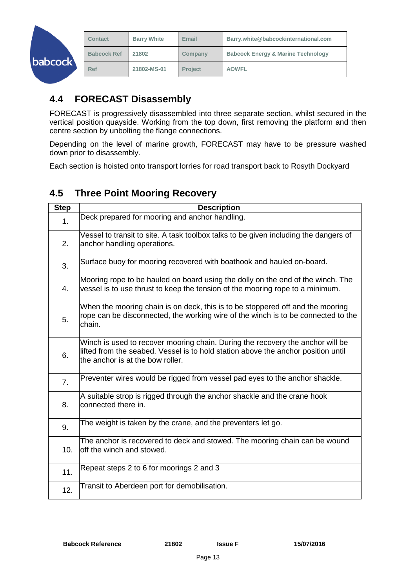| babcock | <b>Contact</b>     | <b>Barry White</b> | <b>Email</b>   | Barry.white@babcockinternational.com          |
|---------|--------------------|--------------------|----------------|-----------------------------------------------|
|         | <b>Babcock Ref</b> | 21802              | Company        | <b>Babcock Energy &amp; Marine Technology</b> |
|         | Ref                | 21802-MS-01        | <b>Project</b> | <b>AOWFL</b>                                  |

## <span id="page-13-0"></span>**4.4 FORECAST Disassembly**

FORECAST is progressively disassembled into three separate section, whilst secured in the vertical position quayside. Working from the top down, first removing the platform and then centre section by unbolting the flange connections.

Depending on the level of marine growth, FORECAST may have to be pressure washed down prior to disassembly.

Each section is hoisted onto transport lorries for road transport back to Rosyth Dockyard

### <span id="page-13-1"></span>**4.5 Three Point Mooring Recovery**

| <b>Step</b>    | <b>Description</b>                                                                                                                                                                                      |
|----------------|---------------------------------------------------------------------------------------------------------------------------------------------------------------------------------------------------------|
| 1.             | Deck prepared for mooring and anchor handling.                                                                                                                                                          |
| 2.             | Vessel to transit to site. A task toolbox talks to be given including the dangers of<br>anchor handling operations.                                                                                     |
| 3.             | Surface buoy for mooring recovered with boathook and hauled on-board.                                                                                                                                   |
| 4.             | Mooring rope to be hauled on board using the dolly on the end of the winch. The<br>vessel is to use thrust to keep the tension of the mooring rope to a minimum.                                        |
| 5.             | When the mooring chain is on deck, this is to be stoppered off and the mooring<br>rope can be disconnected, the working wire of the winch is to be connected to the<br>chain.                           |
| 6.             | Winch is used to recover mooring chain. During the recovery the anchor will be<br>lifted from the seabed. Vessel is to hold station above the anchor position until<br>the anchor is at the bow roller. |
| 7 <sub>1</sub> | Preventer wires would be rigged from vessel pad eyes to the anchor shackle.                                                                                                                             |
| 8.             | A suitable strop is rigged through the anchor shackle and the crane hook<br>connected there in.                                                                                                         |
| 9.             | The weight is taken by the crane, and the preventers let go.                                                                                                                                            |
| 10.            | The anchor is recovered to deck and stowed. The mooring chain can be wound<br>off the winch and stowed.                                                                                                 |
| 11.            | Repeat steps 2 to 6 for moorings 2 and 3                                                                                                                                                                |
| 12.            | Transit to Aberdeen port for demobilisation.                                                                                                                                                            |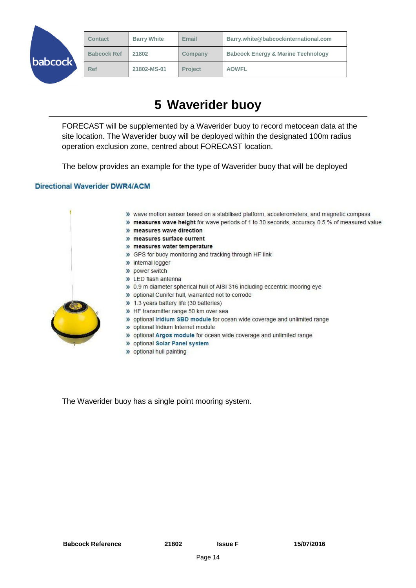|                   | <b>Contact</b>     | <b>Barry White</b> | Email          | Barry.white@babcockinternational.com          |
|-------------------|--------------------|--------------------|----------------|-----------------------------------------------|
| $\textrm{ocock}'$ | <b>Babcock Ref</b> | 21802              | Company        | <b>Babcock Energy &amp; Marine Technology</b> |
|                   | <b>Ref</b>         | 21802-MS-01        | <b>Project</b> | <b>AOWFL</b>                                  |

# **5 Waverider buoy**

<span id="page-14-0"></span>FORECAST will be supplemented by a Waverider buoy to record metocean data at the site location. The Waverider buoy will be deployed within the designated 100m radius operation exclusion zone, centred about FORECAST location.

The below provides an example for the type of Waverider buoy that will be deployed

#### **Directional Waverider DWR4/ACM**

ba



The Waverider buoy has a single point mooring system.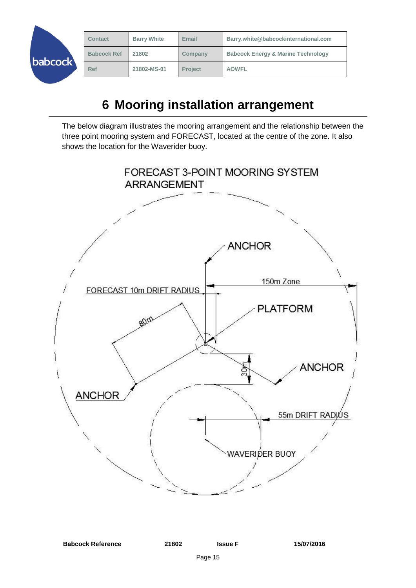| Barry.white@babcockinternational.com          |
|-----------------------------------------------|
| <b>Babcock Energy &amp; Marine Technology</b> |
|                                               |
|                                               |

# **6 Mooring installation arrangement**

<span id="page-15-0"></span>The below diagram illustrates the mooring arrangement and the relationship between the three point mooring system and FORECAST, located at the centre of the zone. It also shows the location for the Waverider buoy.

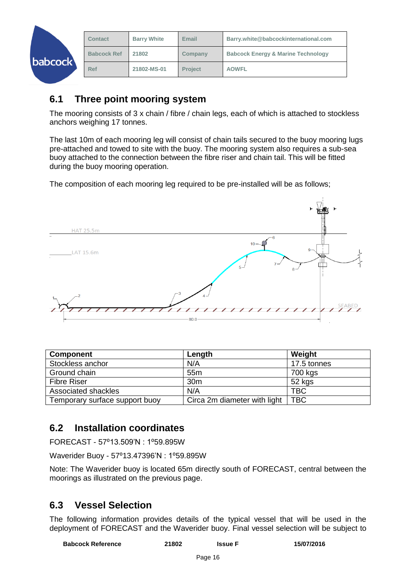| babcock | <b>Contact</b>     | <b>Barry White</b> | Email          | Barry.white@babcockinternational.com          |
|---------|--------------------|--------------------|----------------|-----------------------------------------------|
|         | <b>Babcock Ref</b> | 21802              | Company        | <b>Babcock Energy &amp; Marine Technology</b> |
|         | Ref                | 21802-MS-01        | <b>Project</b> | <b>AOWFL</b>                                  |

### <span id="page-16-0"></span>**6.1 Three point mooring system**

The mooring consists of 3 x chain / fibre / chain legs, each of which is attached to stockless anchors weighing 17 tonnes.

The last 10m of each mooring leg will consist of chain tails secured to the buoy mooring lugs pre-attached and towed to site with the buoy. The mooring system also requires a sub-sea buoy attached to the connection between the fibre riser and chain tail. This will be fitted during the buoy mooring operation.

The composition of each mooring leg required to be pre-installed will be as follows;



| <b>Component</b>               | Length                       | Weight      |
|--------------------------------|------------------------------|-------------|
| Stockless anchor               | N/A                          | 17.5 tonnes |
| Ground chain                   | 55 <sub>m</sub>              | 700 kgs     |
| <b>Fibre Riser</b>             | 30 <sub>m</sub>              | 52 kgs      |
| Associated shackles            | N/A                          | <b>TBC</b>  |
| Temporary surface support buoy | Circa 2m diameter with light | <b>TBC</b>  |

### <span id="page-16-1"></span>**6.2 Installation coordinates**

FORECAST - 57⁰13.509'N : 1⁰59.895W

Waverider Buoy - 57°13.47396'N : 1°59.895W

Note: The Waverider buoy is located 65m directly south of FORECAST, central between the moorings as illustrated on the previous page.

### <span id="page-16-2"></span>**6.3 Vessel Selection**

The following information provides details of the typical vessel that will be used in the deployment of FORECAST and the Waverider buoy. Final vessel selection will be subject to

| <b>Babcock Reference</b> | 21802 | <b>Issue</b> F | 15/07/2016 |
|--------------------------|-------|----------------|------------|
|                          |       |                |            |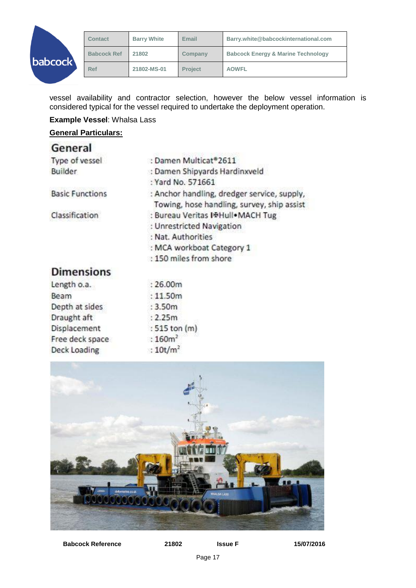

vessel availability and contractor selection, however the below vessel information is considered typical for the vessel required to undertake the deployment operation.

**Example Vessel**: Whalsa Lass

**General Particulars:**

| General                |                                             |  |  |
|------------------------|---------------------------------------------|--|--|
| Type of vessel         | : Damen Multicat®2611                       |  |  |
| <b>Builder</b>         | : Damen Shipyards Hardinxveld               |  |  |
|                        | : Yard No. 571661                           |  |  |
| <b>Basic Functions</b> | : Anchor handling, dredger service, supply, |  |  |
|                        | Towing, hose handling, survey, ship assist  |  |  |
| Classification         | : Bureau Veritas I+Hull•MACH Tug            |  |  |
|                        | : Unrestricted Navigation                   |  |  |
|                        | : Nat. Authorities                          |  |  |
|                        | : MCA workboat Category 1                   |  |  |
|                        | : 150 miles from shore                      |  |  |
| <b>Dimensions</b>      |                                             |  |  |
| Length o.a.            | :26.00m                                     |  |  |
|                        |                                             |  |  |

| Length o.a.     | : 26.00m            |
|-----------------|---------------------|
| Beam            | :11.50m             |
| Depth at sides  | : 3.50m             |
| Draught aft     | : 2.25m             |
| Displacement    | : 515 ton (m)       |
| Free deck space | :160m <sup>2</sup>  |
| Deck Loading    | :10t/m <sup>2</sup> |
|                 |                     |



**Babcock Reference 21802 Issue F 15/07/2016**